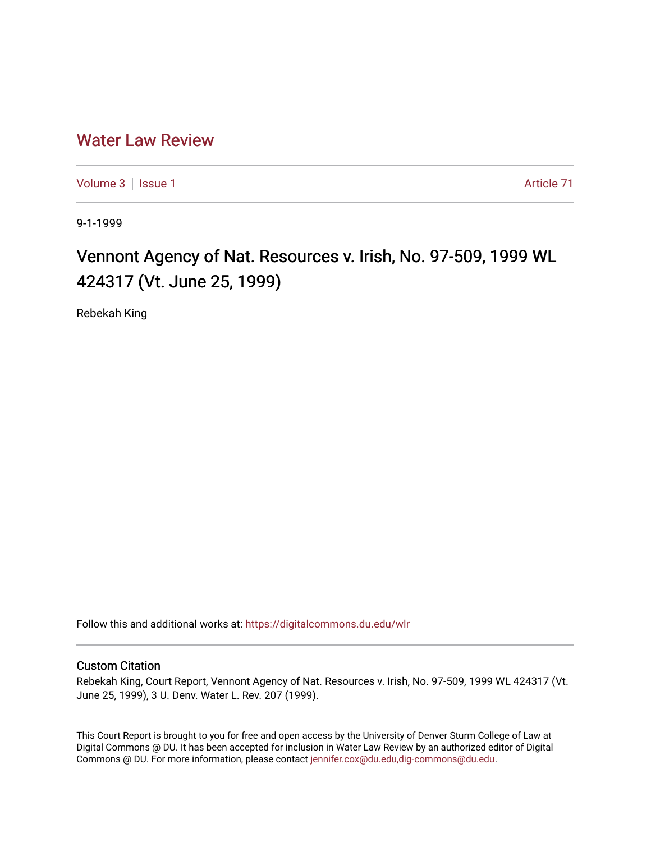## [Water Law Review](https://digitalcommons.du.edu/wlr)

[Volume 3](https://digitalcommons.du.edu/wlr/vol3) | [Issue 1](https://digitalcommons.du.edu/wlr/vol3/iss1) Article 71

9-1-1999

## Vennont Agency of Nat. Resources v. Irish, No. 97-509, 1999 WL 424317 (Vt. June 25, 1999)

Rebekah King

Follow this and additional works at: [https://digitalcommons.du.edu/wlr](https://digitalcommons.du.edu/wlr?utm_source=digitalcommons.du.edu%2Fwlr%2Fvol3%2Fiss1%2F71&utm_medium=PDF&utm_campaign=PDFCoverPages) 

## Custom Citation

Rebekah King, Court Report, Vennont Agency of Nat. Resources v. Irish, No. 97-509, 1999 WL 424317 (Vt. June 25, 1999), 3 U. Denv. Water L. Rev. 207 (1999).

This Court Report is brought to you for free and open access by the University of Denver Sturm College of Law at Digital Commons @ DU. It has been accepted for inclusion in Water Law Review by an authorized editor of Digital Commons @ DU. For more information, please contact [jennifer.cox@du.edu,dig-commons@du.edu.](mailto:jennifer.cox@du.edu,dig-commons@du.edu)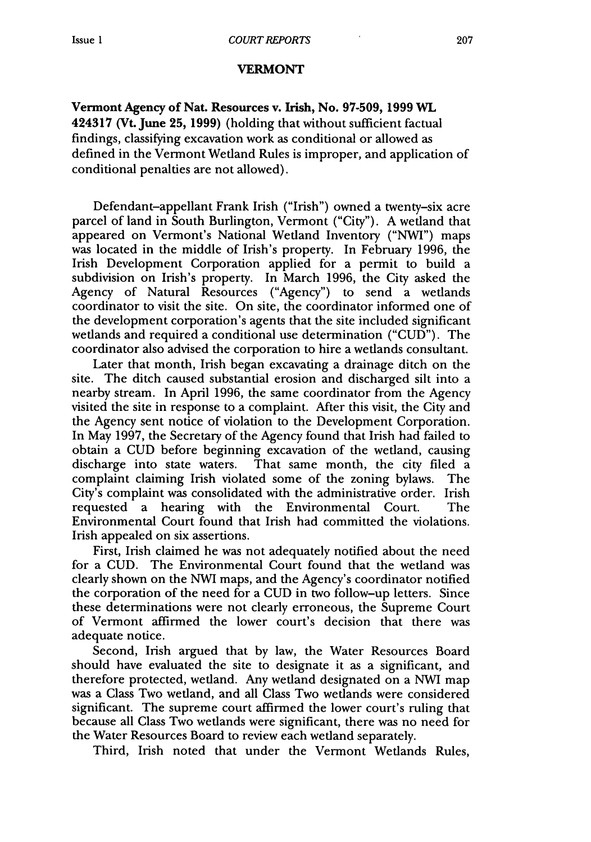## VERMONT

Vermont Agency of Nat. Resources v. Irish, No. **97-509, 1999** WL 424317 (Vt. June **25, 1999)** (holding that without sufficient factual findings, classifying excavation work as conditional or allowed as defined in the Vermont Wetland Rules is improper, and application of conditional penalties are not allowed).

Defendant-appellant Frank Irish ("Irish") owned a twenty-six acre parcel of land in South Burlington, Vermont ("City"). A wetland that appeared on Vermont's National Wetland Inventory ("NWI") maps was located in the middle of Irish's property. In February 1996, the Irish Development Corporation applied for a permit to build a subdivision on Irish's property. In March 1996, the City asked the Agency of Natural Resources ("Agency") to send a wetlands coordinator to visit the site. On site, the coordinator informed one of the development corporation's agents that the site included significant wetlands and required a conditional use determination ("CUD"). The coordinator also advised the corporation to hire a wetlands consultant.

Later that month, Irish began excavating a drainage ditch on the site. The ditch caused substantial erosion and discharged silt into a nearby stream. In April 1996, the same coordinator from the Agency visited the site in response to a complaint. After this visit, the City and the Agency sent notice of violation to the Development Corporation. In May 1997, the Secretary of the Agency found that Irish had failed to obtain a CUD before beginning excavation of the wetland, causing discharge into state waters. That same month, the city filed a complaint claiming Irish violated some of the zoning bylaws. The City's complaint was consolidated with the administrative order. Irish requested a hearing with the Environmental Court. The Environmental Court found that Irish had committed the violations. Irish appealed on six assertions.

First, Irish claimed he was not adequately notified about the need for a CUD. The Environmental Court found that the wetland was clearly shown on the NWI maps, and the Agency's coordinator notified the corporation of the need for a CUD in two follow-up letters. Since these determinations were not clearly erroneous, the Supreme Court of Vermont affirmed the lower court's decision that there was adequate notice.

Second, Irish argued that by law, the Water Resources Board should have evaluated the site to designate it as a significant, and therefore protected, wetland. Any wetland designated on a NWI map was a Class Two wetland, and all Class Two wetlands were considered significant. The supreme court affirmed the lower court's ruling that because all Class Two wetlands were significant, there was no need for the Water Resources Board to review each wetland separately.

Third, Irish noted that under the Vermont Wetlands Rules,